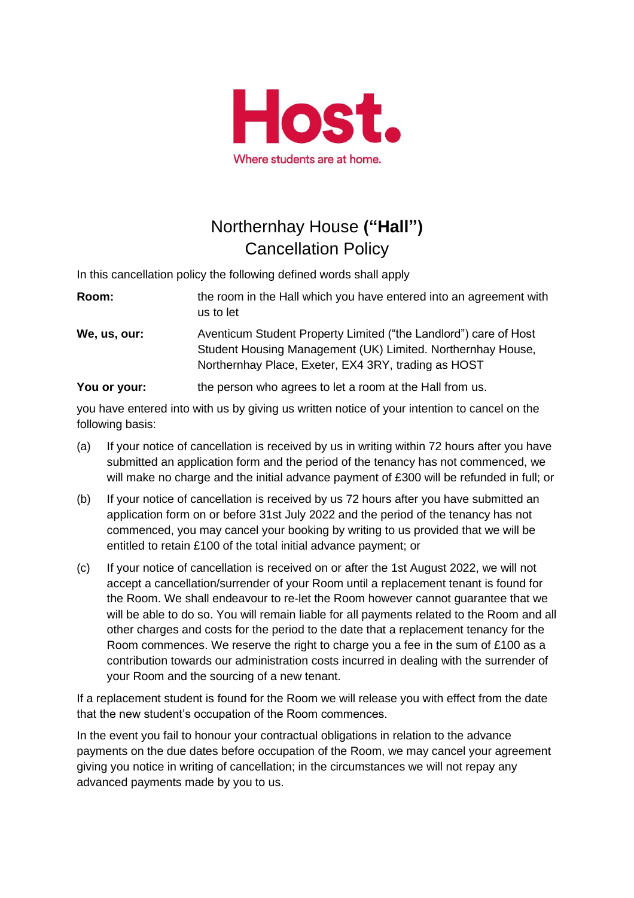

## Northernhay House **("Hall")** Cancellation Policy

In this cancellation policy the following defined words shall apply

| Room:                   | the room in the Hall which you have entered into an agreement with<br>us to let                                                                                                        |
|-------------------------|----------------------------------------------------------------------------------------------------------------------------------------------------------------------------------------|
| We, us, our:            | Aventicum Student Property Limited ("the Landlord") care of Host<br>Student Housing Management (UK) Limited. Northernhay House,<br>Northernhay Place, Exeter, EX4 3RY, trading as HOST |
| $M = 120$ and $M = 120$ | the companies of the companies of the basic and an office that the companies                                                                                                           |

**You or your:** the person who agrees to let a room at the Hall from us.

you have entered into with us by giving us written notice of your intention to cancel on the following basis:

- (a) If your notice of cancellation is received by us in writing within 72 hours after you have submitted an application form and the period of the tenancy has not commenced, we will make no charge and the initial advance payment of £300 will be refunded in full; or
- (b) If your notice of cancellation is received by us 72 hours after you have submitted an application form on or before 31st July 2022 and the period of the tenancy has not commenced, you may cancel your booking by writing to us provided that we will be entitled to retain £100 of the total initial advance payment; or
- (c) If your notice of cancellation is received on or after the 1st August 2022, we will not accept a cancellation/surrender of your Room until a replacement tenant is found for the Room. We shall endeavour to re-let the Room however cannot guarantee that we will be able to do so. You will remain liable for all payments related to the Room and all other charges and costs for the period to the date that a replacement tenancy for the Room commences. We reserve the right to charge you a fee in the sum of £100 as a contribution towards our administration costs incurred in dealing with the surrender of your Room and the sourcing of a new tenant.

If a replacement student is found for the Room we will release you with effect from the date that the new student's occupation of the Room commences.

In the event you fail to honour your contractual obligations in relation to the advance payments on the due dates before occupation of the Room, we may cancel your agreement giving you notice in writing of cancellation; in the circumstances we will not repay any advanced payments made by you to us.